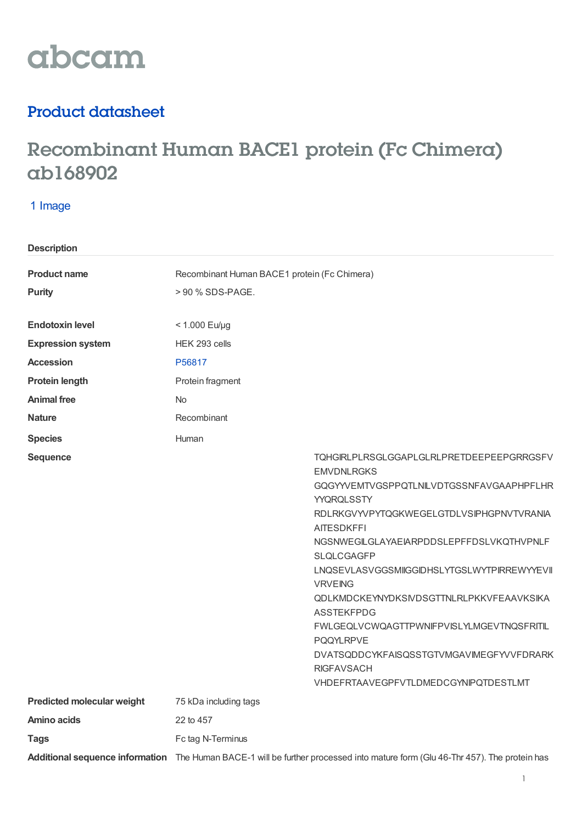

# Product datasheet

# Recombinant Human BACE1 protein (Fc Chimera) ab168902

## 1 Image

| <b>Description</b>                |                                                                                                                                                                                                                                                                                                                                                                                                                                                                                                                                                                      |
|-----------------------------------|----------------------------------------------------------------------------------------------------------------------------------------------------------------------------------------------------------------------------------------------------------------------------------------------------------------------------------------------------------------------------------------------------------------------------------------------------------------------------------------------------------------------------------------------------------------------|
| <b>Product name</b>               | Recombinant Human BACE1 protein (Fc Chimera)                                                                                                                                                                                                                                                                                                                                                                                                                                                                                                                         |
| <b>Purity</b>                     | > 90 % SDS-PAGE.                                                                                                                                                                                                                                                                                                                                                                                                                                                                                                                                                     |
|                                   |                                                                                                                                                                                                                                                                                                                                                                                                                                                                                                                                                                      |
| <b>Endotoxin level</b>            | $< 1.000$ Eu/µg                                                                                                                                                                                                                                                                                                                                                                                                                                                                                                                                                      |
| <b>Expression system</b>          | HEK 293 cells                                                                                                                                                                                                                                                                                                                                                                                                                                                                                                                                                        |
| <b>Accession</b>                  | P56817                                                                                                                                                                                                                                                                                                                                                                                                                                                                                                                                                               |
| <b>Protein length</b>             | Protein fragment                                                                                                                                                                                                                                                                                                                                                                                                                                                                                                                                                     |
| <b>Animal free</b>                | <b>No</b>                                                                                                                                                                                                                                                                                                                                                                                                                                                                                                                                                            |
| <b>Nature</b>                     | Recombinant                                                                                                                                                                                                                                                                                                                                                                                                                                                                                                                                                          |
| <b>Species</b>                    | Human                                                                                                                                                                                                                                                                                                                                                                                                                                                                                                                                                                |
| <b>Sequence</b>                   | TQHGIRLPLRSGLGGAPLGLRLPRETDEEPEEPGRRGSFV<br><b>EMVDNLRGKS</b><br>GQGYYVEMTVGSPPQTLNILVDTGSSNFAVGAAPHPFLHR<br>YYQRQLSSTY<br>RDLRKGVYVPYTQGKWEGELGTDLVSIPHGPNVTVRANIA<br><b>AITESDKFFI</b><br>NGSNWEGILGLAYAEIARPDDSLEPFFDSLVKQTHVPNLF<br><b>SLQLCGAGFP</b><br>LNQSEVLASVGGSMIGGIDHSLYTGSLWYTPIRREWYYEVII<br><b>VRVEING</b><br>QDLKMDCKEYNYDKSIVDSGTTNLRLPKKVFEAAVKSIKA<br><b>ASSTEKFPDG</b><br>FWLGEQLVCWQAGTTPWNIFPVISLYLMGEVTNQSFRITIL<br><b>PQQYLRPVE</b><br>DVATSQDDCYKFAISQSSTGTVMGAVIMEGFYVVFDRARK<br><b>RIGFAVSACH</b><br>VHDEFRTAAVEGPFVTLDMEDCGYNIPQTDESTLMT |
| <b>Predicted molecular weight</b> | 75 kDa including tags                                                                                                                                                                                                                                                                                                                                                                                                                                                                                                                                                |
| Amino acids                       | 22 to 457                                                                                                                                                                                                                                                                                                                                                                                                                                                                                                                                                            |
| <b>Tags</b>                       | Fc tag N-Terminus                                                                                                                                                                                                                                                                                                                                                                                                                                                                                                                                                    |
|                                   | Additional sequence information The Human BACE-1 will be further processed into mature form (Glu 46-Thr 457). The protein has                                                                                                                                                                                                                                                                                                                                                                                                                                        |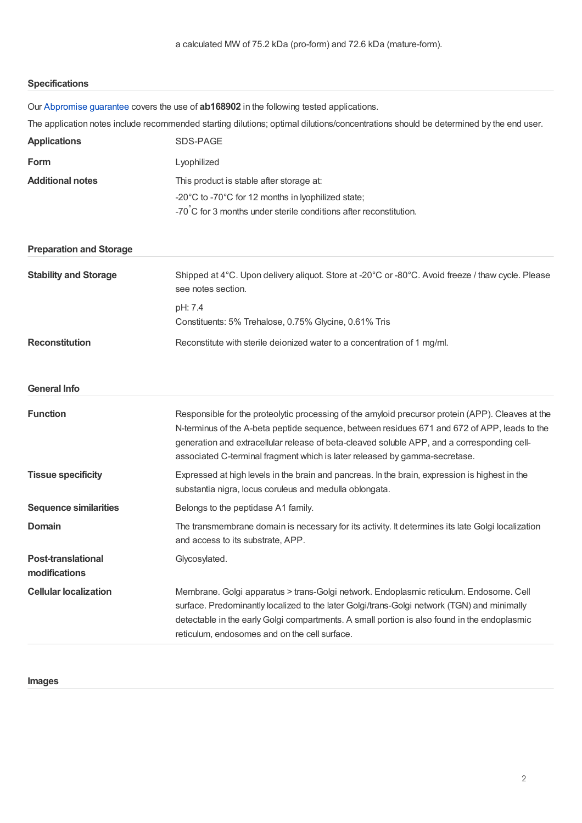## **Specifications**

| Our Abpromise guarantee covers the use of <b>ab168902</b> in the following tested applications.                                                                                             |
|---------------------------------------------------------------------------------------------------------------------------------------------------------------------------------------------|
| The application notes include recommended starting dilutions; optimal dilutions/concentrations should be determined by the end user.                                                        |
| SDS-PAGE                                                                                                                                                                                    |
| Lyophilized                                                                                                                                                                                 |
| This product is stable after storage at:                                                                                                                                                    |
| -20°C to -70°C for 12 months in lyophilized state;                                                                                                                                          |
| -70°C for 3 months under sterile conditions after reconstitution.                                                                                                                           |
|                                                                                                                                                                                             |
| Shipped at 4°C. Upon delivery aliquot. Store at -20°C or -80°C. Avoid freeze / thaw cycle. Please<br>see notes section.                                                                     |
| pH: 7.4                                                                                                                                                                                     |
| Constituents: 5% Trehalose, 0.75% Glycine, 0.61% Tris                                                                                                                                       |
| Reconstitute with sterile deionized water to a concentration of 1 mg/ml.                                                                                                                    |
|                                                                                                                                                                                             |
|                                                                                                                                                                                             |
| Responsible for the proteolytic processing of the amyloid precursor protein (APP). Cleaves at the                                                                                           |
| N-terminus of the A-beta peptide sequence, between residues 671 and 672 of APP, leads to the<br>generation and extracellular release of beta-cleaved soluble APP, and a corresponding cell- |
| associated C-terminal fragment which is later released by gamma-secretase.                                                                                                                  |
| Expressed at high levels in the brain and pancreas. In the brain, expression is highest in the                                                                                              |
| substantia nigra, locus coruleus and medulla oblongata.                                                                                                                                     |
| Belongs to the peptidase A1 family.                                                                                                                                                         |
| The transmembrane domain is necessary for its activity. It determines its late Golgi localization<br>and access to its substrate, APP.                                                      |
| Glycosylated.                                                                                                                                                                               |
| Membrane. Golgi apparatus > trans-Golgi network. Endoplasmic reticulum. Endosome. Cell                                                                                                      |
| surface. Predominantly localized to the later Golgi/trans-Golgi network (TGN) and minimally                                                                                                 |
| detectable in the early Golgi compartments. A small portion is also found in the endoplasmic<br>reticulum, endosomes and on the cell surface.                                               |
|                                                                                                                                                                                             |

**Images**